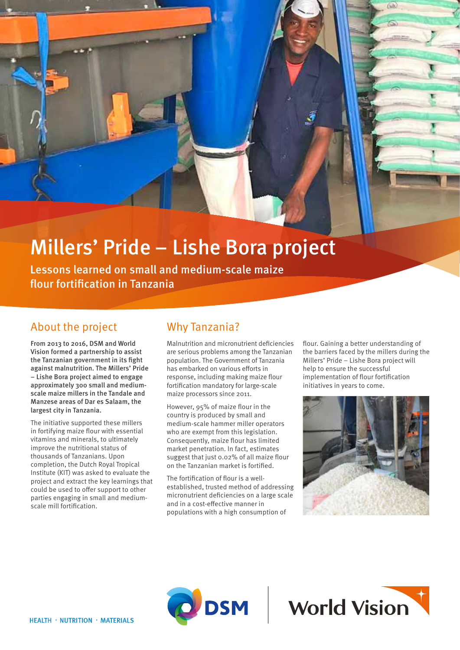# Millers' Pride – Lishe Bora project

Lessons learned on small and medium-scale maize flour fortification in Tanzania

## About the project

From 2013 to 2016, DSM and World Vision formed a partnership to assist the Tanzanian government in its fight against malnutrition. The Millers' Pride – Lishe Bora project aimed to engage approximately 300 small and mediumscale maize millers in the Tandale and Manzese areas of Dar es Salaam, the largest city in Tanzania.

The initiative supported these millers in fortifying maize flour with essential vitamins and minerals, to ultimately improve the nutritional status of thousands of Tanzanians. Upon completion, the Dutch Royal Tropical Institute (KIT) was asked to evaluate the project and extract the key learnings that could be used to offer support to other parties engaging in small and mediumscale mill fortification.

# Why Tanzania?

Malnutrition and micronutrient deficiencies are serious problems among the Tanzanian population. The Government of Tanzania has embarked on various efforts in response, including making maize flour fortification mandatory for large-scale maize processors since 2011.

However, 95% of maize flour in the country is produced by small and medium-scale hammer miller operators who are exempt from this legislation. Consequently, maize flour has limited market penetration. In fact, estimates suggest that just 0.02% of all maize flour on the Tanzanian market is fortified.

The fortification of flour is a wellestablished, trusted method of addressing micronutrient deficiencies on a large scale and in a cost-effective manner in populations with a high consumption of

flour. Gaining a better understanding of the barriers faced by the millers during the Millers' Pride – Lishe Bora project will help to ensure the successful implementation of flour fortification initiatives in years to come.